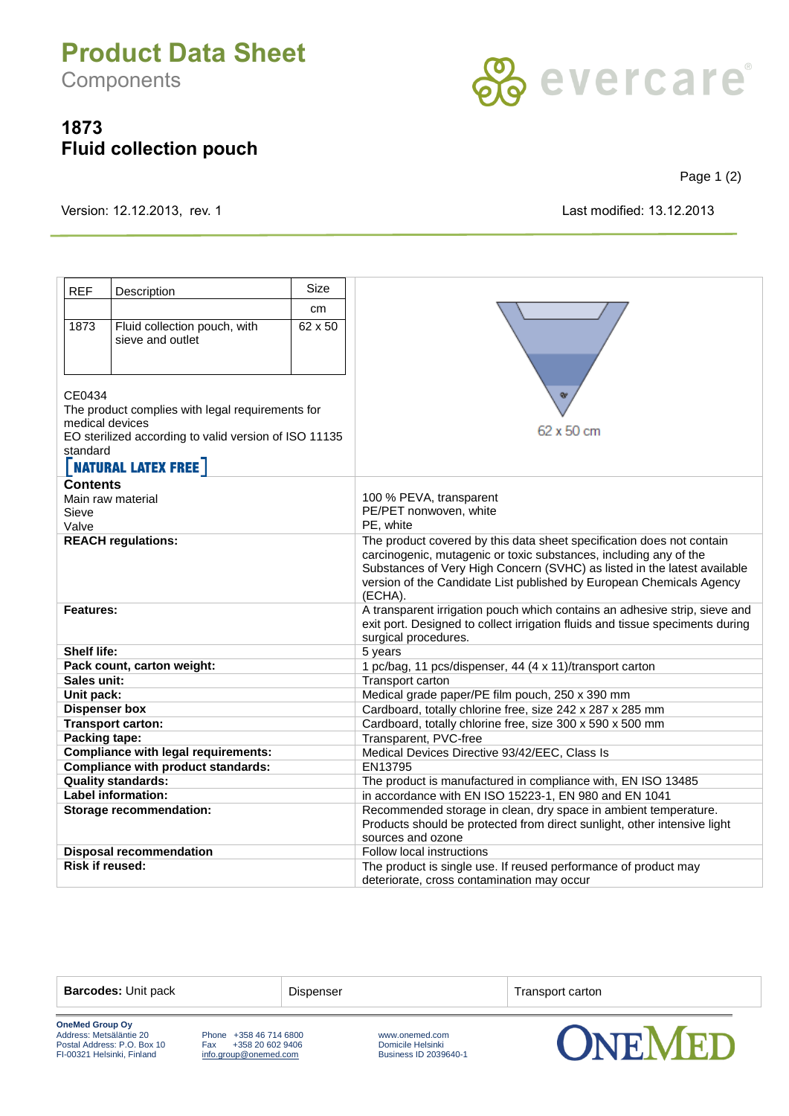## **Product Data Sheet**

**Components** 

## **1873 Fluid collection pouch**



Page 1 (2)

Version: 12.12.2013, rev. 1 Last modified: 13.12.2013

| <b>REF</b>                                                                              | Description                  | <b>Size</b> |                                                                                                                                            |
|-----------------------------------------------------------------------------------------|------------------------------|-------------|--------------------------------------------------------------------------------------------------------------------------------------------|
|                                                                                         |                              | cm          |                                                                                                                                            |
| 1873                                                                                    | Fluid collection pouch, with | 62 x 50     |                                                                                                                                            |
|                                                                                         | sieve and outlet             |             |                                                                                                                                            |
|                                                                                         |                              |             |                                                                                                                                            |
|                                                                                         |                              |             |                                                                                                                                            |
|                                                                                         |                              |             | <b>Qr</b><br>62 x 50 cm                                                                                                                    |
| CF0434                                                                                  |                              |             |                                                                                                                                            |
| The product complies with legal requirements for<br>medical devices                     |                              |             |                                                                                                                                            |
| EO sterilized according to valid version of ISO 11135                                   |                              |             |                                                                                                                                            |
| standard                                                                                |                              |             |                                                                                                                                            |
| <b>NATURAL LATEX FREE</b>                                                               |                              |             |                                                                                                                                            |
| Contents                                                                                |                              |             |                                                                                                                                            |
| Main raw material                                                                       |                              |             | 100 % PEVA, transparent                                                                                                                    |
| Sieve                                                                                   |                              |             | PE/PET nonwoven, white                                                                                                                     |
| Valve                                                                                   |                              |             | PE, white                                                                                                                                  |
| <b>REACH regulations:</b>                                                               |                              |             | The product covered by this data sheet specification does not contain<br>carcinogenic, mutagenic or toxic substances, including any of the |
|                                                                                         |                              |             | Substances of Very High Concern (SVHC) as listed in the latest available                                                                   |
|                                                                                         |                              |             | version of the Candidate List published by European Chemicals Agency                                                                       |
|                                                                                         |                              |             | (ECHA).                                                                                                                                    |
| Features:                                                                               |                              |             | A transparent irrigation pouch which contains an adhesive strip, sieve and                                                                 |
|                                                                                         |                              |             | exit port. Designed to collect irrigation fluids and tissue speciments during<br>surgical procedures.                                      |
| <b>Shelf life:</b>                                                                      |                              |             | 5 years                                                                                                                                    |
| Pack count, carton weight:                                                              |                              |             | 1 pc/bag, 11 pcs/dispenser, 44 (4 x 11)/transport carton                                                                                   |
| Sales unit:                                                                             |                              |             | Transport carton                                                                                                                           |
| Unit pack:                                                                              |                              |             | Medical grade paper/PE film pouch, 250 x 390 mm                                                                                            |
| <b>Dispenser box</b>                                                                    |                              |             | Cardboard, totally chlorine free, size 242 x 287 x 285 mm                                                                                  |
| <b>Transport carton:</b>                                                                |                              |             | Cardboard, totally chlorine free, size 300 x 590 x 500 mm                                                                                  |
| Packing tape:                                                                           |                              |             | Transparent, PVC-free                                                                                                                      |
| <b>Compliance with legal requirements:</b><br><b>Compliance with product standards:</b> |                              |             | Medical Devices Directive 93/42/EEC, Class Is<br>EN13795                                                                                   |
| <b>Quality standards:</b>                                                               |                              |             | The product is manufactured in compliance with, EN ISO 13485                                                                               |
| <b>Label information:</b>                                                               |                              |             | in accordance with EN ISO 15223-1, EN 980 and EN 1041                                                                                      |
| <b>Storage recommendation:</b>                                                          |                              |             | Recommended storage in clean, dry space in ambient temperature.                                                                            |
|                                                                                         |                              |             | Products should be protected from direct sunlight, other intensive light                                                                   |
|                                                                                         |                              |             | sources and ozone                                                                                                                          |
| <b>Disposal recommendation</b>                                                          |                              |             | Follow local instructions                                                                                                                  |
| <b>Risk if reused:</b>                                                                  |                              |             | The product is single use. If reused performance of product may                                                                            |
|                                                                                         |                              |             | deteriorate, cross contamination may occur                                                                                                 |

**Barcodes:** Unit pack Dispenser Dispenser Transport carton

**OneMed Group Oy** Postal Address: P.O. Box 10 Fax +358 20 602 9406 Domicile Helsinki FI-00321 Helsinki, Finland [info.group@onemed.com](mailto:info@onemed.com) Business ID 2039640-1

Phone +358 46 714 6800<br>
Fax +358 20 602 9406 <br>
<u>info.group@onemed.com</u> Business ID 2039640-1